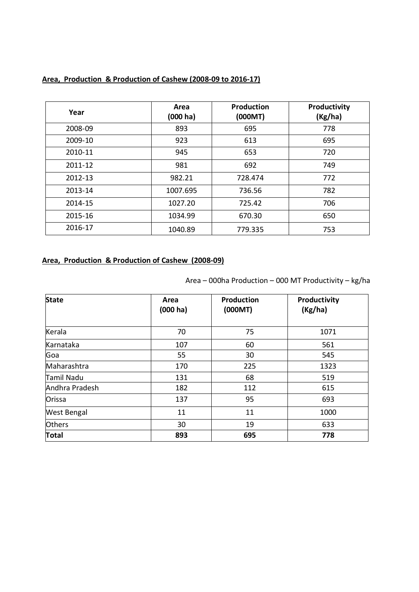| Year    | Area<br>$(000 \text{ ha})$ | <b>Production</b><br>(000MT) | Productivity<br>(Kg/ha) |
|---------|----------------------------|------------------------------|-------------------------|
| 2008-09 | 893                        | 695                          | 778                     |
| 2009-10 | 923                        | 613                          | 695                     |
| 2010-11 | 945                        | 653                          | 720                     |
| 2011-12 | 981                        | 692                          | 749                     |
| 2012-13 | 982.21                     | 728.474                      | 772                     |
| 2013-14 | 1007.695                   | 736.56                       | 782                     |
| 2014-15 | 1027.20                    | 725.42                       | 706                     |
| 2015-16 | 1034.99                    | 670.30                       | 650                     |
| 2016-17 | 1040.89                    | 779.335                      | 753                     |

# **Area, Production & Production of Cashew (2008-09 to 2016-17)**

# **Area, Production & Production of Cashew (2008-09)**

| <b>State</b>       | Area<br>(000 ha) | Production<br>(000MT) | Productivity<br>(Kg/ha) |
|--------------------|------------------|-----------------------|-------------------------|
| Kerala             | 70               | 75                    | 1071                    |
| Karnataka          | 107              | 60                    | 561                     |
| Goa                | 55               | 30                    | 545                     |
| Maharashtra        | 170              | 225                   | 1323                    |
| Tamil Nadu         | 131              | 68                    | 519                     |
| Andhra Pradesh     | 182              | 112                   | 615                     |
| Orissa             | 137              | 95                    | 693                     |
| <b>West Bengal</b> | 11               | 11                    | 1000                    |
| <b>Others</b>      | 30               | 19                    | 633                     |
| <b>Total</b>       | 893              | 695                   | 778                     |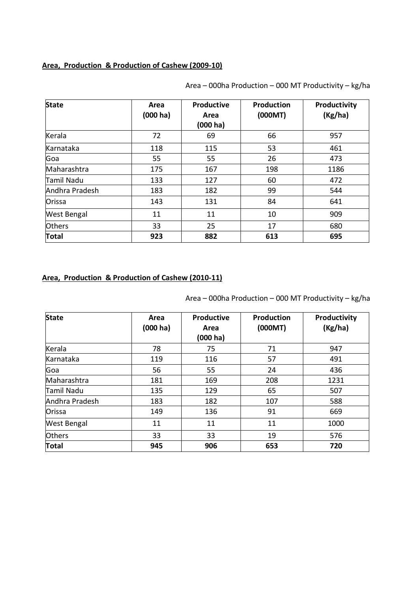#### **Area, Production & Production of Cashew (2009-10)**

| <b>State</b>       | Area<br>(000 ha) | Productive<br>Area<br>(000 ha) | Production<br>(000MT) | Productivity<br>(Kg/ha) |
|--------------------|------------------|--------------------------------|-----------------------|-------------------------|
| Kerala             | 72               | 69                             | 66                    | 957                     |
| Karnataka          | 118              | 115                            | 53                    | 461                     |
| Goa                | 55               | 55                             | 26                    | 473                     |
| Maharashtra        | 175              | 167                            | 198                   | 1186                    |
| <b>Tamil Nadu</b>  | 133              | 127                            | 60                    | 472                     |
| Andhra Pradesh     | 183              | 182                            | 99                    | 544                     |
| Orissa             | 143              | 131                            | 84                    | 641                     |
| <b>West Bengal</b> | 11               | 11                             | 10                    | 909                     |
| <b>Others</b>      | 33               | 25                             | 17                    | 680                     |
| <b>Total</b>       | 923              | 882                            | 613                   | 695                     |

Area – 000ha Production – 000 MT Productivity – kg/ha

# **Area, Production & Production of Cashew (2010-11)**

| <b>State</b>   | Area<br>(000 ha) | <b>Productive</b><br>Area<br>$(000)$ ha) | Production<br>(000MT) | Productivity<br>(Kg/ha) |
|----------------|------------------|------------------------------------------|-----------------------|-------------------------|
| Kerala         | 78               | 75                                       | 71                    | 947                     |
| Karnataka      | 119              | 116                                      | 57                    | 491                     |
| Goa            | 56               | 55                                       | 24                    | 436                     |
| Maharashtra    | 181              | 169                                      | 208                   | 1231                    |
| Tamil Nadu     | 135              | 129                                      | 65                    | 507                     |
| Andhra Pradesh | 183              | 182                                      | 107                   | 588                     |
| Orissa         | 149              | 136                                      | 91                    | 669                     |
| West Bengal    | 11               | 11                                       | 11                    | 1000                    |
| <b>Others</b>  | 33               | 33                                       | 19                    | 576                     |
| <b>Total</b>   | 945              | 906                                      | 653                   | 720                     |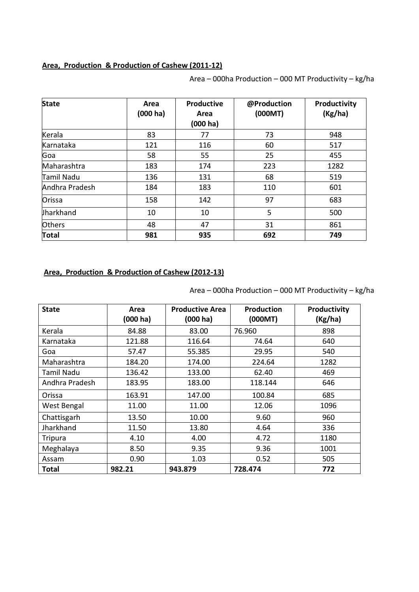#### **Area, Production & Production of Cashew (2011-12)**

| <b>State</b>   | Area<br>(000 ha) | Productive<br>Area<br>(000 ha) | @Production<br>(000MT) | Productivity<br>(Kg/ha) |
|----------------|------------------|--------------------------------|------------------------|-------------------------|
| Kerala         | 83               | 77                             | 73                     | 948                     |
| Karnataka      | 121              | 116                            | 60                     | 517                     |
| Goa            | 58               | 55                             | 25                     | 455                     |
| Maharashtra    | 183              | 174                            | 223                    | 1282                    |
| Tamil Nadu     | 136              | 131                            | 68                     | 519                     |
| Andhra Pradesh | 184              | 183                            | 110                    | 601                     |
| Orissa         | 158              | 142                            | 97                     | 683                     |
| Jharkhand      | 10               | 10                             | 5                      | 500                     |
| <b>Others</b>  | 48               | 47                             | 31                     | 861                     |
| <b>Total</b>   | 981              | 935                            | 692                    | 749                     |

Area – 000ha Production – 000 MT Productivity – kg/ha

### **Area, Production & Production of Cashew (2012-13)**

| <b>State</b>      | Area               | <b>Productive Area</b> | <b>Production</b> | Productivity |
|-------------------|--------------------|------------------------|-------------------|--------------|
|                   | $(000 \text{ ha})$ | $(000 \text{ ha})$     | (000MT)           | (Kg/ha)      |
| Kerala            | 84.88              | 83.00                  | 76.960            | 898          |
| Karnataka         | 121.88             | 116.64                 | 74.64             | 640          |
| Goa               | 57.47              | 55.385                 | 29.95             | 540          |
| Maharashtra       | 184.20             | 174.00                 | 224.64            | 1282         |
| <b>Tamil Nadu</b> | 136.42             | 133.00                 | 62.40             | 469          |
| Andhra Pradesh    | 183.95             | 183.00                 | 118.144           | 646          |
| Orissa            | 163.91             | 147.00                 | 100.84            | 685          |
| West Bengal       | 11.00              | 11.00                  | 12.06             | 1096         |
| Chattisgarh       | 13.50              | 10.00                  | 9.60              | 960          |
| Jharkhand         | 11.50              | 13.80                  | 4.64              | 336          |
| <b>Tripura</b>    | 4.10               | 4.00                   | 4.72              | 1180         |
| Meghalaya         | 8.50               | 9.35                   | 9.36              | 1001         |
| Assam             | 0.90               | 1.03                   | 0.52              | 505          |
| Total             | 982.21             | 943.879                | 728.474           | 772          |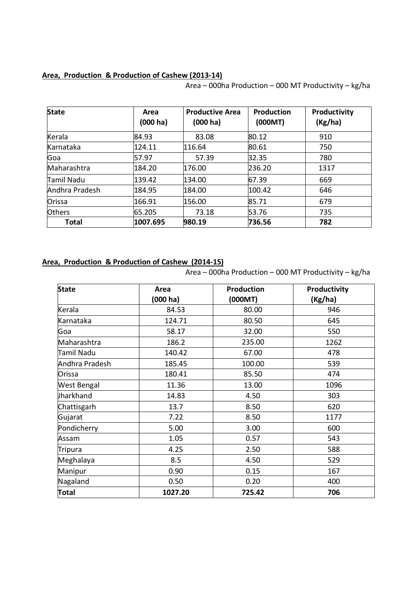#### **Area, Production & Production of Cashew (2013-14)**

Area – 000ha Production – 000 MT Productivity – kg/ha

| <b>State</b>   | Area<br>$(000 \text{ ha})$ | <b>Productive Area</b><br>$(000 \text{ ha})$ | <b>Production</b><br>(000MT) | Productivity<br>(Kg/ha) |
|----------------|----------------------------|----------------------------------------------|------------------------------|-------------------------|
| Kerala         | 84.93                      | 83.08                                        | 80.12                        | 910                     |
| Karnataka      | 124.11                     | 116.64                                       | 80.61                        | 750                     |
| Goa            | 57.97                      | 57.39                                        | 32.35                        | 780                     |
| Maharashtra    | 184.20                     | 176.00                                       | 236.20                       | 1317                    |
| Tamil Nadu     | 139.42                     | 134.00                                       | 67.39                        | 669                     |
| Andhra Pradesh | 184.95                     | 184.00                                       | 100.42                       | 646                     |
| Orissa         | 166.91                     | 156.00                                       | 85.71                        | 679                     |
| <b>Others</b>  | 65.205                     | 73.18                                        | 53.76                        | 735                     |
| <b>Total</b>   | 1007.695                   | 980.19                                       | 736.56                       | 782                     |

# **Area, Production & Production of Cashew (2014-15)**

| <b>State</b>   | Area     | <b>Production</b> | Productivity |
|----------------|----------|-------------------|--------------|
|                | (000 ha) | (000MT)           | (Kg/ha)      |
| Kerala         | 84.53    | 80.00             | 946          |
| Karnataka      | 124.71   | 80.50             | 645          |
| Goa            | 58.17    | 32.00             | 550          |
| Maharashtra    | 186.2    | 235.00            | 1262         |
| Tamil Nadu     | 140.42   | 67.00             | 478          |
| Andhra Pradesh | 185.45   | 100.00            | 539          |
| Orissa         | 180.41   | 85.50             | 474          |
| West Bengal    | 11.36    | 13.00             | 1096         |
| Jharkhand      | 14.83    | 4.50              | 303          |
| Chattisgarh    | 13.7     | 8.50              | 620          |
| Gujarat        | 7.22     | 8.50              | 1177         |
| Pondicherry    | 5.00     | 3.00              | 600          |
| Assam          | 1.05     | 0.57              | 543          |
| <b>Tripura</b> | 4.25     | 2.50              | 588          |
| Meghalaya      | 8.5      | 4.50              | 529          |
| Manipur        | 0.90     | 0.15              | 167          |
| Nagaland       | 0.50     | 0.20              | 400          |
| <b>Total</b>   | 1027.20  | 725.42            | 706          |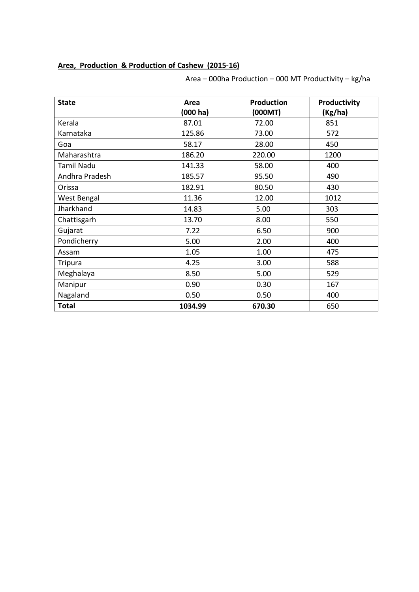### **Area, Production & Production of Cashew (2015-16)**

| <b>State</b>      | Area<br>(000 ha) | Production<br>(000MT) | Productivity<br>(Kg/ha) |
|-------------------|------------------|-----------------------|-------------------------|
| Kerala            | 87.01            | 72.00                 | 851                     |
| Karnataka         | 125.86           | 73.00                 | 572                     |
| Goa               | 58.17            | 28.00                 | 450                     |
| Maharashtra       | 186.20           | 220.00                | 1200                    |
| <b>Tamil Nadu</b> | 141.33           | 58.00                 | 400                     |
| Andhra Pradesh    | 185.57           | 95.50                 | 490                     |
| Orissa            | 182.91           | 80.50                 | 430                     |
| West Bengal       | 11.36            | 12.00                 | 1012                    |
| Jharkhand         | 14.83            | 5.00                  | 303                     |
| Chattisgarh       | 13.70            | 8.00                  | 550                     |
| Gujarat           | 7.22             | 6.50                  | 900                     |
| Pondicherry       | 5.00             | 2.00                  | 400                     |
| Assam             | 1.05             | 1.00                  | 475                     |
| <b>Tripura</b>    | 4.25             | 3.00                  | 588                     |
| Meghalaya         | 8.50             | 5.00                  | 529                     |
| Manipur           | 0.90             | 0.30                  | 167                     |
| Nagaland          | 0.50             | 0.50                  | 400                     |
| <b>Total</b>      | 1034.99          | 670.30                | 650                     |